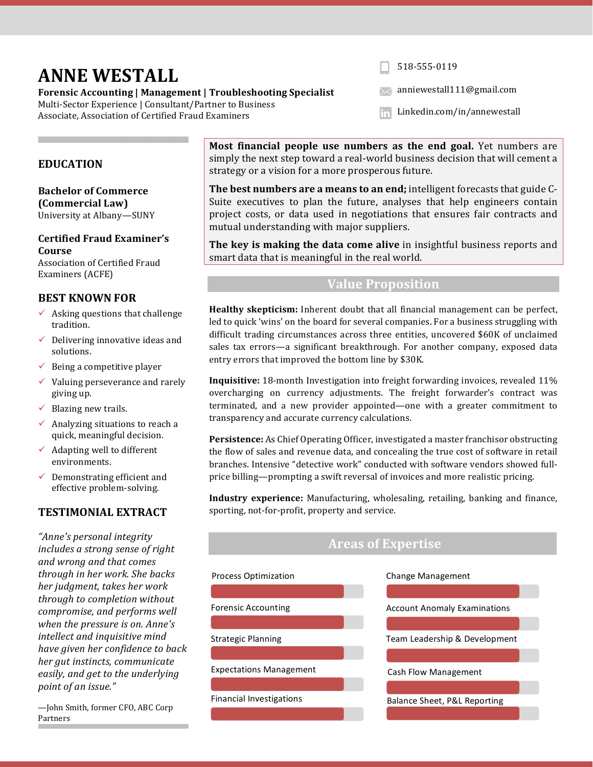# **ANNE WESTALL**

Forensic Accounting | Management | Troubleshooting Specialist Multi-Sector Experience | Consultant/Partner to Business Associate, Association of Certified Fraud Examiners

518-555-0119

anniewestall111@gmail.com

Linkedin.com/in/annewestallin

### **EDUCATION**

**Bachelor of Commerce (Commercial Law)** University at Albany-SUNY

**Certified Fraud Examiner's Course** Association of Certified Fraud Examiners (ACFE)

### **BEST KNOWN FOR**

- $\checkmark$  Asking questions that challenge tradition.
- $\checkmark$  Delivering innovative ideas and solutions.
- $\checkmark$  Being a competitive player
- $\checkmark$  Valuing perseverance and rarely giving up.
- $\checkmark$  Blazing new trails.
- $\checkmark$  Analyzing situations to reach a quick, meaningful decision.
- $\checkmark$  Adapting well to different environments.
- $\checkmark$  Demonstrating efficient and effective problem-solving.

## **TESTIMONIAL EXTRACT**

*"Anne's personal integrity includes a strong sense of right and wrong and that comes through in her work. She backs*  her judgment, takes her work *through to completion without compromise, and performs well when the pressure is on. Anne's intellect and inquisitive mind have given her confidence to back her gut instincts, communicate easily, and get to the underlying point of an issue."*

—John Smith, former CFO, ABC Corp Partners

**Most financial people use numbers as the end goal.** Yet numbers are simply the next step toward a real-world business decision that will cement a strategy or a vision for a more prosperous future.

**The best numbers are a means to an end;** intelligent forecasts that guide C-Suite executives to plan the future, analyses that help engineers contain project costs, or data used in negotiations that ensures fair contracts and mutual understanding with major suppliers.

The key is making the data come alive in insightful business reports and smart data that is meaningful in the real world.

### **Value Proposition**

**Healthy skepticism:** Inherent doubt that all financial management can be perfect, led to quick 'wins' on the board for several companies. For a business struggling with difficult trading circumstances across three entities, uncovered \$60K of unclaimed sales tax errors—a significant breakthrough. For another company, exposed data entry errors that improved the bottom line by \$30K.

**Inquisitive:** 18-month Investigation into freight forwarding invoices, revealed 11% overcharging on currency adjustments. The freight forwarder's contract was terminated, and a new provider appointed—one with a greater commitment to transparency and accurate currency calculations.

**Persistence:** As Chief Operating Officer, investigated a master franchisor obstructing the flow of sales and revenue data, and concealing the true cost of software in retail branches. Intensive "detective work" conducted with software vendors showed fullprice billing—prompting a swift reversal of invoices and more realistic pricing.

**Industry experience:** Manufacturing, wholesaling, retailing, banking and finance, sporting, not-for-profit, property and service.